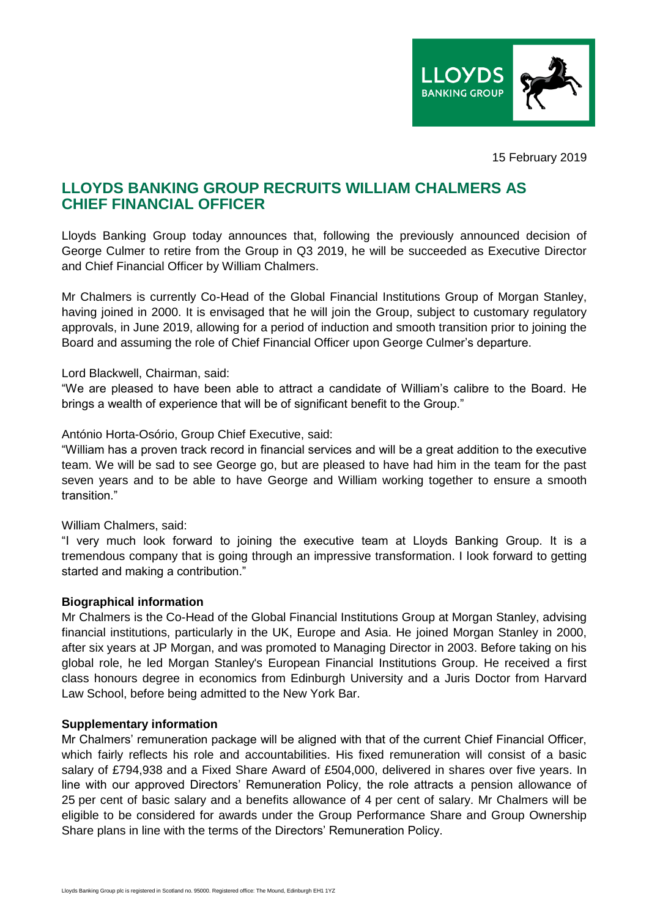

15 February 2019

# **LLOYDS BANKING GROUP RECRUITS WILLIAM CHALMERS AS CHIEF FINANCIAL OFFICER**

Lloyds Banking Group today announces that, following the previously announced decision of George Culmer to retire from the Group in Q3 2019, he will be succeeded as Executive Director and Chief Financial Officer by William Chalmers.

Mr Chalmers is currently Co-Head of the Global Financial Institutions Group of Morgan Stanley, having joined in 2000. It is envisaged that he will join the Group, subject to customary regulatory approvals, in June 2019, allowing for a period of induction and smooth transition prior to joining the Board and assuming the role of Chief Financial Officer upon George Culmer's departure.

Lord Blackwell, Chairman, said:

"We are pleased to have been able to attract a candidate of William's calibre to the Board. He brings a wealth of experience that will be of significant benefit to the Group."

### António Horta-Osório, Group Chief Executive, said:

"William has a proven track record in financial services and will be a great addition to the executive team. We will be sad to see George go, but are pleased to have had him in the team for the past seven years and to be able to have George and William working together to ensure a smooth transition."

## William Chalmers, said:

"I very much look forward to joining the executive team at Lloyds Banking Group. It is a tremendous company that is going through an impressive transformation. I look forward to getting started and making a contribution."

#### **Biographical information**

Mr Chalmers is the Co-Head of the Global Financial Institutions Group at Morgan Stanley, advising financial institutions, particularly in the UK, Europe and Asia. He joined Morgan Stanley in 2000, after six years at JP Morgan, and was promoted to Managing Director in 2003. Before taking on his global role, he led Morgan Stanley's European Financial Institutions Group. He received a first class honours degree in economics from Edinburgh University and a Juris Doctor from Harvard Law School, before being admitted to the New York Bar.

#### **Supplementary information**

Mr Chalmers' remuneration package will be aligned with that of the current Chief Financial Officer, which fairly reflects his role and accountabilities. His fixed remuneration will consist of a basic salary of £794,938 and a Fixed Share Award of £504,000, delivered in shares over five years. In line with our approved Directors' Remuneration Policy, the role attracts a pension allowance of 25 per cent of basic salary and a benefits allowance of 4 per cent of salary. Mr Chalmers will be eligible to be considered for awards under the Group Performance Share and Group Ownership Share plans in line with the terms of the Directors' Remuneration Policy.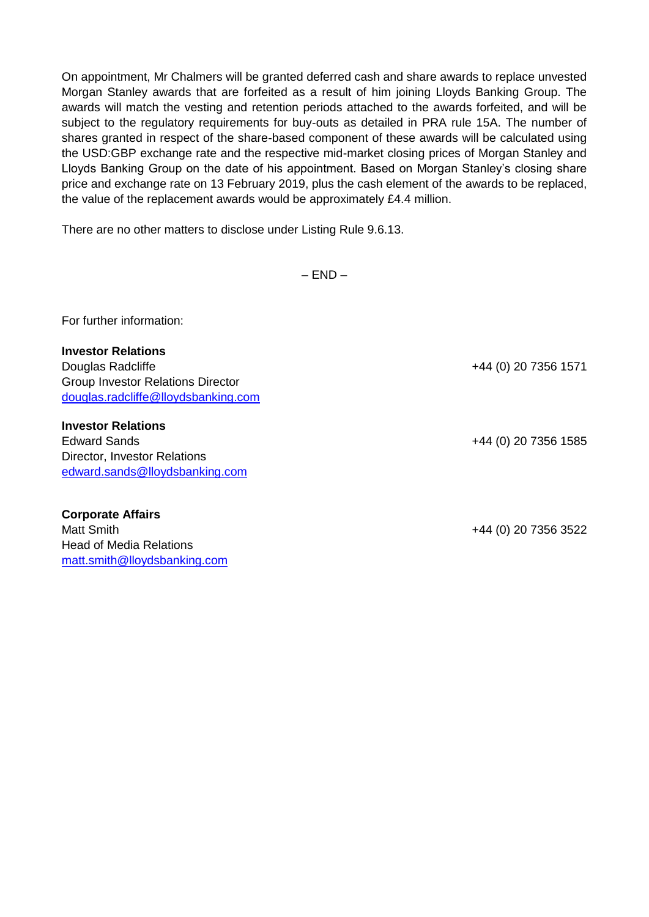On appointment, Mr Chalmers will be granted deferred cash and share awards to replace unvested Morgan Stanley awards that are forfeited as a result of him joining Lloyds Banking Group. The awards will match the vesting and retention periods attached to the awards forfeited, and will be subject to the regulatory requirements for buy-outs as detailed in PRA rule 15A. The number of shares granted in respect of the share-based component of these awards will be calculated using the USD:GBP exchange rate and the respective mid-market closing prices of Morgan Stanley and Lloyds Banking Group on the date of his appointment. Based on Morgan Stanley's closing share price and exchange rate on 13 February 2019, plus the cash element of the awards to be replaced, the value of the replacement awards would be approximately £4.4 million.

There are no other matters to disclose under Listing Rule 9.6.13.

 $-$  END  $-$ 

For further information:

**Investor Relations** Douglas Radcliffe +44 (0) 20 7356 1571 Group Investor Relations Director [douglas.radcliffe@lloydsbanking.com](mailto:douglas.radcliffe@lloydsbanking.com)

**Investor Relations** Edward Sands +44 (0) 20 7356 1585 Director, Investor Relations [edward.sands@lloydsbanking.com](mailto:edward.sands@lloydsbanking.com)

**Corporate Affairs** Matt Smith +44 (0) 20 7356 3522 Head of Media Relations [matt.smith@lloydsbanking.com](mailto:matt.smith@lloydsbanking.com)